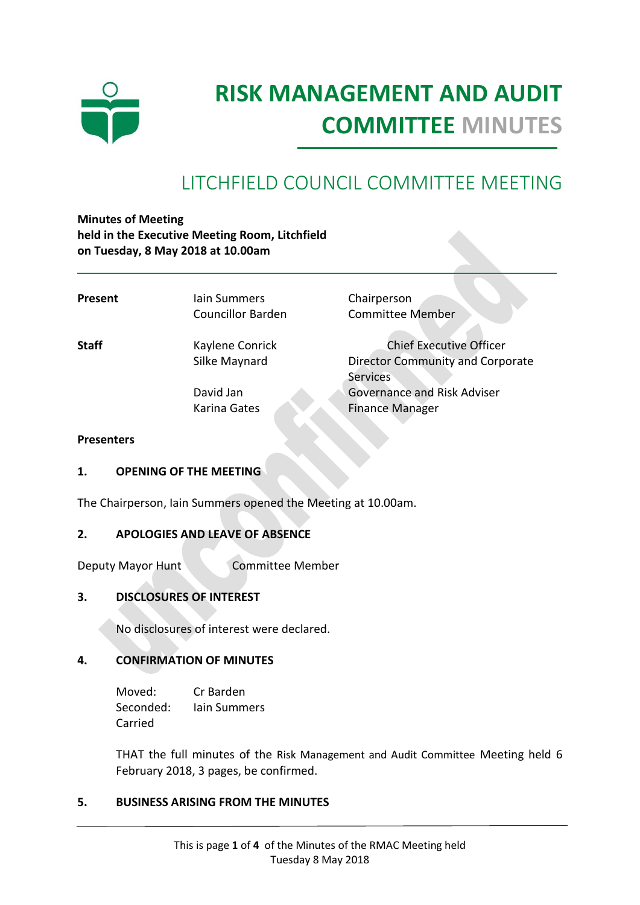

# **RISK MANAGEMENT AND AUDIT COMMITTEE MINUTES**

## LITCHFIELD COUNCIL COMMITTEE MEETING

**Minutes of Meeting held in the Executive Meeting Room, Litchfield on Tuesday, 8 May 2018 at 10.00am**

| Present           | lain Summers<br><b>Councillor Barden</b> | Chairperson<br><b>Committee Member</b>                                                       |
|-------------------|------------------------------------------|----------------------------------------------------------------------------------------------|
| <b>Staff</b>      | Kaylene Conrick<br>Silke Maynard         | <b>Chief Executive Officer</b><br><b>Director Community and Corporate</b><br><b>Services</b> |
|                   | David Jan<br>Karina Gates                | <b>Governance and Risk Adviser</b><br><b>Finance Manager</b>                                 |
| <b>Presenters</b> |                                          |                                                                                              |

### **1. OPENING OF THE MEETING**

The Chairperson, Iain Summers opened the Meeting at 10.00am.

#### **2. APOLOGIES AND LEAVE OF ABSENCE**

Deputy Mayor Hunt Committee Member

#### **3. DISCLOSURES OF INTEREST**

No disclosures of interest were declared.

#### **4. CONFIRMATION OF MINUTES**

Moved: Cr Barden Seconded: Iain Summers Carried

THAT the full minutes of the Risk Management and Audit Committee Meeting held 6 February 2018, 3 pages, be confirmed.

#### **5. BUSINESS ARISING FROM THE MINUTES**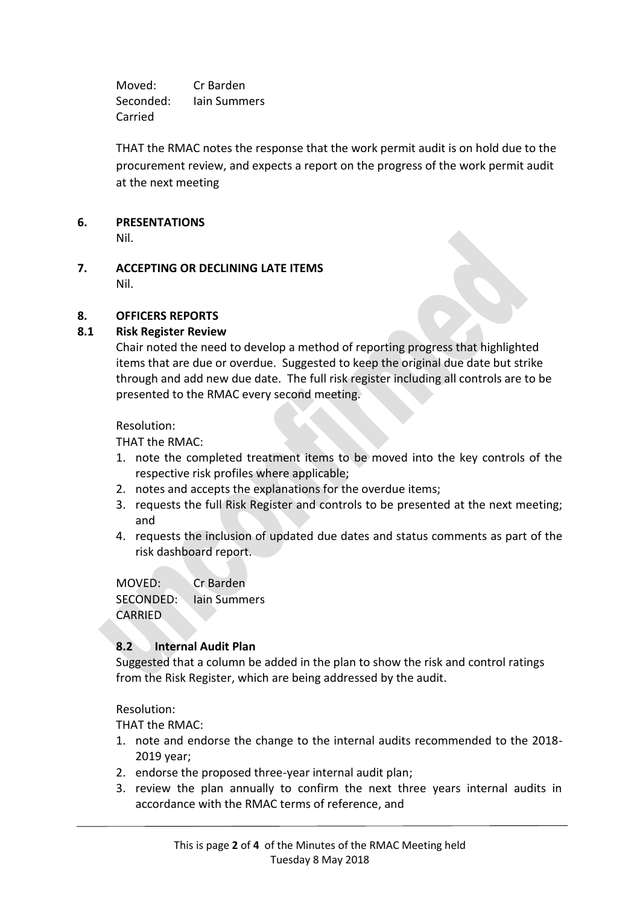Moved: Cr Barden Seconded: Iain Summers Carried

THAT the RMAC notes the response that the work permit audit is on hold due to the procurement review, and expects a report on the progress of the work permit audit at the next meeting

#### **6. PRESENTATIONS**

Nil.

**7. ACCEPTING OR DECLINING LATE ITEMS** Nil.

#### **8. OFFICERS REPORTS**

#### **8.1 Risk Register Review**

Chair noted the need to develop a method of reporting progress that highlighted items that are due or overdue. Suggested to keep the original due date but strike through and add new due date. The full risk register including all controls are to be presented to the RMAC every second meeting.

Resolution:

THAT the RMAC:

- 1. note the completed treatment items to be moved into the key controls of the respective risk profiles where applicable;
- 2. notes and accepts the explanations for the overdue items;
- 3. requests the full Risk Register and controls to be presented at the next meeting; and
- 4. requests the inclusion of updated due dates and status comments as part of the risk dashboard report.

MOVED: Cr Barden SECONDED: Iain Summers CARRIED

#### **8.2 Internal Audit Plan**

Suggested that a column be added in the plan to show the risk and control ratings from the Risk Register, which are being addressed by the audit.

Resolution:

THAT the RMAC:

- 1. note and endorse the change to the internal audits recommended to the 2018- 2019 year;
- 2. endorse the proposed three-year internal audit plan;
- 3. review the plan annually to confirm the next three years internal audits in accordance with the RMAC terms of reference, and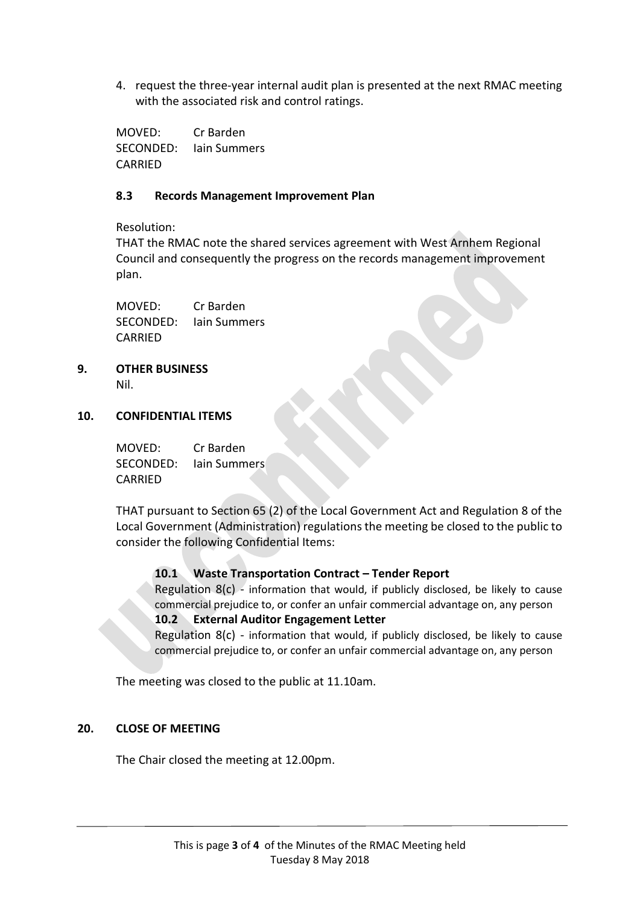4. request the three-year internal audit plan is presented at the next RMAC meeting with the associated risk and control ratings.

MOVED: Cr Barden SECONDED: Iain Summers CARRIED

#### **8.3 Records Management Improvement Plan**

Resolution:

THAT the RMAC note the shared services agreement with West Arnhem Regional Council and consequently the progress on the records management improvement plan.

MOVED: Cr Barden SECONDED: Iain Summers CARRIED

**9. OTHER BUSINESS** Nil.

#### **10. CONFIDENTIAL ITEMS**

MOVED: Cr Barden SECONDED: Iain Summers CARRIED

THAT pursuant to Section 65 (2) of the Local Government Act and Regulation 8 of the Local Government (Administration) regulations the meeting be closed to the public to consider the following Confidential Items:

#### **10.1 Waste Transportation Contract – Tender Report**

Regulation  $8(c)$  - information that would, if publicly disclosed, be likely to cause commercial prejudice to, or confer an unfair commercial advantage on, any person **10.2 External Auditor Engagement Letter**

Regulation  $8(c)$  - information that would, if publicly disclosed, be likely to cause commercial prejudice to, or confer an unfair commercial advantage on, any person

The meeting was closed to the public at 11.10am.

#### **20. CLOSE OF MEETING**

The Chair closed the meeting at 12.00pm.